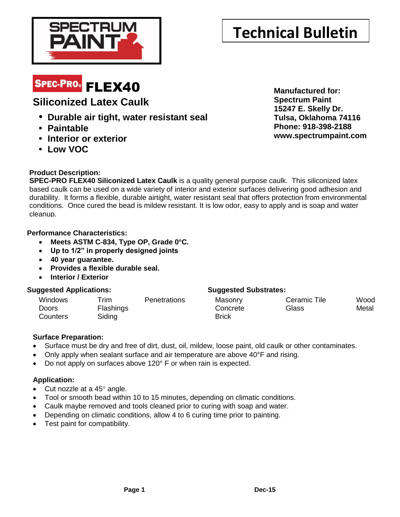

# **Technical Bulletin**

# SPEC-PRO® FLEX40

## **Siliconized Latex Caulk**

- **• Durable air tight, water resistant seal**
- **• Paintable**
- **• Interior or exterior**
- **• Low VOC**

**Product Description:**

**SPEC-PRO FLEX40 Siliconized Latex Caulk** is a quality general purpose caulk. This siliconized latex based caulk can be used on a wide variety of interior and exterior surfaces delivering good adhesion and durability. It forms a flexible, durable airtight, water resistant seal that offers protection from environmental conditions. Once cured the bead is mildew resistant. It is low odor, easy to apply and is soap and water cleanup.

#### **Performance Characteristics:**

- **Meets ASTM C-834, Type OP, Grade 0°C.**
- **Up to 1/2" in properly designed joints**
- **40 year guarantee.**
- **Provides a flexible durable seal.**
- **Interior / Exterior**

### **Suggested Applications: Suggested Substrates:**

| Windows  | $r$ rim   | <b>Penetrations</b> | Masonry  | Ceramic Tile | Wood  |
|----------|-----------|---------------------|----------|--------------|-------|
| Doors    | Flashings |                     | Concrete | Glass        | Metal |
| Counters | Siding    |                     | Brick    |              |       |

### **Surface Preparation:**

- Surface must be dry and free of dirt, dust, oil, mildew, loose paint, old caulk or other contaminates.
- Only apply when sealant surface and air temperature are above 40°F and rising.
- Do not apply on surfaces above 120° F or when rain is expected.

### **Application:**

- Cut nozzle at a  $45^\circ$  angle.
- Tool or smooth bead within 10 to 15 minutes, depending on climatic conditions.
- Caulk maybe removed and tools cleaned prior to curing with soap and water.
- Depending on climatic conditions, allow 4 to 6 curing time prior to painting.
- Test paint for compatibility.

**Manufactured for: Spectrum Paint 15247 E. Skelly Dr. Tulsa, Oklahoma 74116 Phone: 918-398-2188 www.spectrumpaint.com**